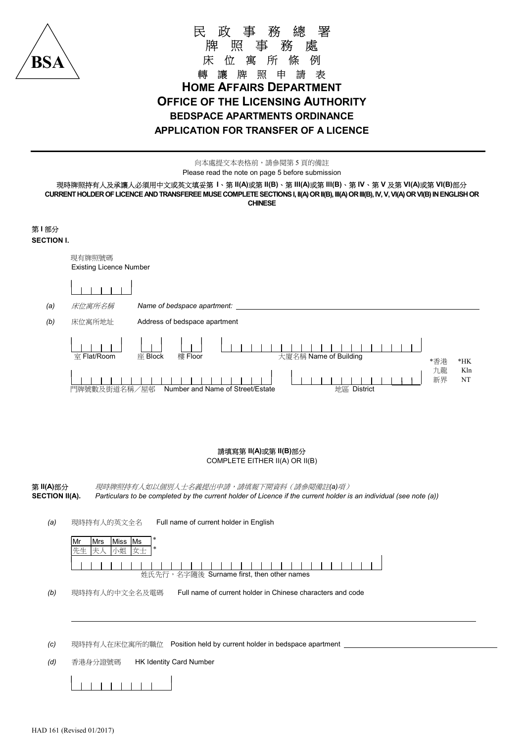

## 民 政 事 務 總 署 牌 照 事 務 處 床 位 寓 所 條 例 轉 讓 牌 照 申 請 表 HOME AFFAIRS DEPARTMENT OFFICE OF THE LICENSING AUTHORITY BEDSPACE APARTMENTS ORDINANCE APPLICATION FOR TRANSFER OF A LICENCE

向本處提交本表格前,請參閱第 5 頁的備註 Please read the note on page 5 before submission

現時牌照持有人及承讓人必須用中文或英文填妥第 I、第 II(A)或第 II(B)、第 III(A)或第 III(B)、第 IV、第 V 及第 VI(A)或第 VI(B)部分 CURRENT HOLDER OF LICENCE AND TRANSFEREE MUSE COMPLETE SECTIONS I, II(A) OR II(B), III(A) OR III(B), IV, V, VI(A) OR VI(B) IN ENGLISH OR CHINESE



## 請填寫第 II(A)或第 II(B)部分

COMPLETE EITHER II(A) OR II(B)

第 II(A)部分 现時牌照持有人如以個別人士名義提出申請,請填報下開資料 (請參閱備註(a)項) SECTION II(A). Particulars to be completed by the current holder of Licence if the current holder is an individual (see note (a))

(a) 現時持有人的英文全名 Full name of current holder in English



(b) 現時持有人的中文全名及電碼 Full name of current holder in Chinese characters and code

(c) 現時持有人在床位寓所的職位 Position held by current holder in bedspace apartment

(d) 香港身分證號碼 HK Identity Card Number



L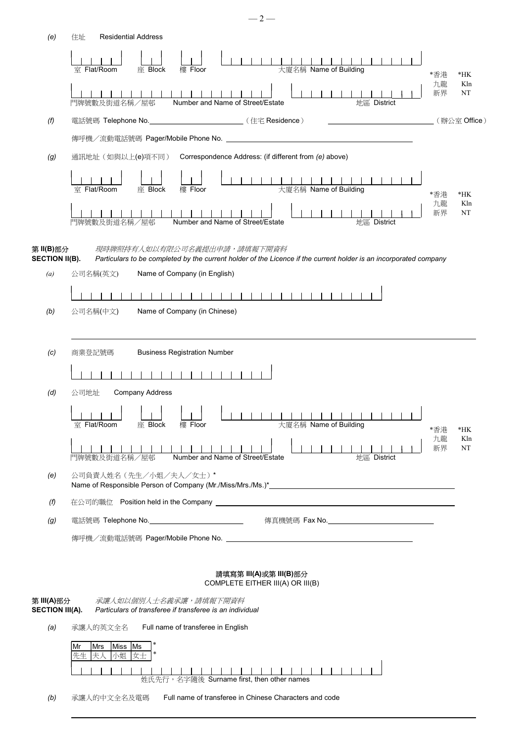| (e)                                  | <b>Residential Address</b><br>住址                                                                                                                 |          |           |  |
|--------------------------------------|--------------------------------------------------------------------------------------------------------------------------------------------------|----------|-----------|--|
|                                      | 11111111111111<br>大廈名稱 Name of Building<br><b>室 Flat/Room</b><br>座 Block<br>樓 Floor                                                              | *香港      | $*HK$     |  |
|                                      | 門牌號數及街道名稱/屋邨<br>Number and Name of Street/Estate<br>地區 District                                                                                  | 九龍<br>新界 | Kln<br>NT |  |
| (f)                                  | 電話號碼 Telephone No. ________________________________(住宅 Residence)                                                                                |          |           |  |
|                                      |                                                                                                                                                  |          |           |  |
| (g)                                  | 通訊地址 (如與以上(e)項不同) Correspondence Address: (if different from (e) above)                                                                          |          |           |  |
|                                      | 大廈名稱 Name of Building<br><b>室 Flat/Room</b><br>座 Block<br>樓 Floor                                                                                | *香港      | $*HK$     |  |
|                                      | 門牌號數及街道名稱/屋邨<br>Number and Name of Street/Estate<br>地區 District                                                                                  | 九龍<br>新界 | Kln<br>NT |  |
| 第 II(B)部分<br><b>SECTION II(B).</b>   | 現時牌照持有人如以有限公司名義提出申請,請填報下開資料<br>Particulars to be completed by the current holder of the Licence if the current holder is an incorporated company |          |           |  |
| $\left(a\right)$                     | Name of Company (in English)<br>公司名稱(英文)                                                                                                         |          |           |  |
|                                      | -------------------                                                                                                                              |          |           |  |
| (b)                                  | 公司名稱(中文)<br>Name of Company (in Chinese)                                                                                                         |          |           |  |
| (c)                                  | 商業登記號碼<br><b>Business Registration Number</b>                                                                                                    |          |           |  |
|                                      |                                                                                                                                                  |          |           |  |
| (d)                                  | 公司地址<br><b>Company Address</b>                                                                                                                   |          |           |  |
|                                      |                                                                                                                                                  |          |           |  |
|                                      | 室 Flat/Room<br>大廈名稱 Name of Building<br>座 Block<br>樓 Floor                                                                                       | *香港      | *HK       |  |
|                                      | Number and Name of Street/Estate<br>地區 District<br>門牌號數及街道名稱/屋邨                                                                                  | 九龍<br>新界 | Kln<br>NT |  |
| (e)                                  | 公司負責人姓名 (先生/小姐/夫人/女士)*                                                                                                                           |          |           |  |
| (f)                                  |                                                                                                                                                  |          |           |  |
| (g)                                  | 電話號碼 Telephone No.________________________________                                                                                               |          |           |  |
|                                      |                                                                                                                                                  |          |           |  |
|                                      |                                                                                                                                                  |          |           |  |
|                                      | 請填寫第 III(A)或第 III(B)部分<br>COMPLETE EITHER III(A) OR III(B)                                                                                       |          |           |  |
| 第 III(A)部分<br><b>SECTION III(A).</b> | 承讓人如以個別人士名義承讓,請填報下開資料<br>Particulars of transferee if transferee is an individual                                                                |          |           |  |
|                                      |                                                                                                                                                  |          |           |  |
| (a)                                  | Full name of transferee in English<br>承讓人的英文全名                                                                                                   |          |           |  |
|                                      | Miss   Ms<br> Mrs<br>Mr<br>先生 夫人 小姐<br> 女士                                                                                                       |          |           |  |
|                                      | 姓氏先行,名字隨後 Surname first, then other names                                                                                                        |          |           |  |
| (b)                                  | Full name of transferee in Chinese Characters and code<br>承讓人的中文全名及電碼                                                                            |          |           |  |

L

 $-2-$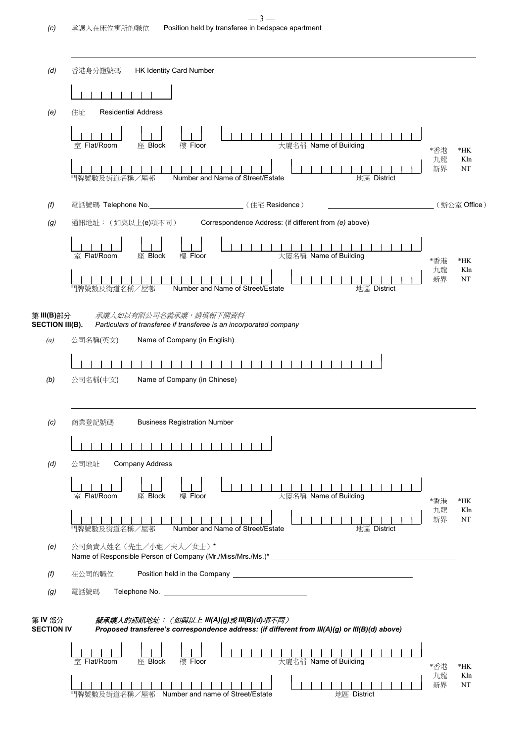L

| (d)                          | <b>HK Identity Card Number</b><br>香港身分證號碼                                                                                                                                                                                                     |                 |                    |  |
|------------------------------|-----------------------------------------------------------------------------------------------------------------------------------------------------------------------------------------------------------------------------------------------|-----------------|--------------------|--|
|                              |                                                                                                                                                                                                                                               |                 |                    |  |
| (e)                          | <b>Residential Address</b><br>住址                                                                                                                                                                                                              |                 |                    |  |
|                              | 大廈名稱 Name of Building<br><b>室 Flat/Room</b><br>座 Block<br>樓 Floor                                                                                                                                                                             | *香港             | $*HK$              |  |
|                              | Number and Name of Street/Estate<br>門牌號數及街道名稱/屋邨<br>地區 District                                                                                                                                                                               | 九龍<br>新界        | Kln<br>NT          |  |
| (f)                          | 電話號碼 Telephone No. _______________________________(住宅 Residence)                                                                                                                                                                              |                 | (辦公室 Office)       |  |
| (g)                          | Correspondence Address: (if different from (e) above)<br>通訊地址: (如與以上(e)項不同)                                                                                                                                                                   |                 |                    |  |
|                              | 室 Flat/Room<br>大廈名稱 Name of Building<br>座 Block<br>樓 Floor                                                                                                                                                                                    | *香港<br>九龍       | $*HK$<br>Kln       |  |
|                              | 門牌號數及街道名稱/屋邨<br>Number and Name of Street/Estate<br>地區 District                                                                                                                                                                               | 新界              | NT                 |  |
| 第 III(B)部分                   | 承讓人如以有限公司名義承讓,請填報下開資料<br><b>SECTION III(B).</b> Particulars of transferee if transferee is an incorporated company                                                                                                                            |                 |                    |  |
| (a)                          | 公司名稱(英文)<br>Name of Company (in English)                                                                                                                                                                                                      |                 |                    |  |
|                              |                                                                                                                                                                                                                                               |                 |                    |  |
| (b)                          | Name of Company (in Chinese)<br>公司名稱(中文)                                                                                                                                                                                                      |                 |                    |  |
|                              |                                                                                                                                                                                                                                               |                 |                    |  |
| (c)                          | 商業登記號碼<br><b>Business Registration Number</b>                                                                                                                                                                                                 |                 |                    |  |
|                              |                                                                                                                                                                                                                                               |                 |                    |  |
| (d)                          | <b>Company Address</b><br>公司地址                                                                                                                                                                                                                |                 |                    |  |
|                              | 大廈名稱 Name of Building<br><b>室 Flat/Room</b><br>座 Block<br>樓 Floor                                                                                                                                                                             | *香港             | $*HK$              |  |
|                              | Number and Name of Street/Estate<br>門牌號數及街道名稱/屋邨<br>地區 District                                                                                                                                                                               | 九龍<br>新界        | Kln<br>NT          |  |
| (e)                          | 公司負責人姓名 (先生/小姐/夫人/女士)*                                                                                                                                                                                                                        |                 |                    |  |
| (f)                          | Position held in the Company <b>contract the Company</b> and the Company of the Company of the Company of the Company of the Company of the Company of the Company of the Company of the Company of the Company of the Company of t<br>在公司的職位 |                 |                    |  |
| (g)                          | Telephone No. 2008 - 2009 - 2010 - 2010 - 2010 - 2010 - 2010 - 2010 - 2010 - 2010 - 2010 - 2010 - 2010 - 2010<br>電話號碼                                                                                                                         |                 |                    |  |
| 第 IV 部分<br><b>SECTION IV</b> | 擬承讓人的通訊地址: (如與以上 Ⅲ(A)(g)或 Ⅲ(B)(d)項不同)<br>Proposed transferee's correspondence address: (if different from III(A)(g) or III(B)(d) above)                                                                                                       |                 |                    |  |
|                              |                                                                                                                                                                                                                                               |                 |                    |  |
|                              | 大廈名稱 Name of Building<br>室 Flat/Room<br>座 Block<br>樓 Floor<br>門牌號數及街道名稱/屋邨<br>Number and name of Street/Estate<br>地區 District                                                                                                                 | *香港<br>九龍<br>新界 | $*HK$<br>Kln<br>NT |  |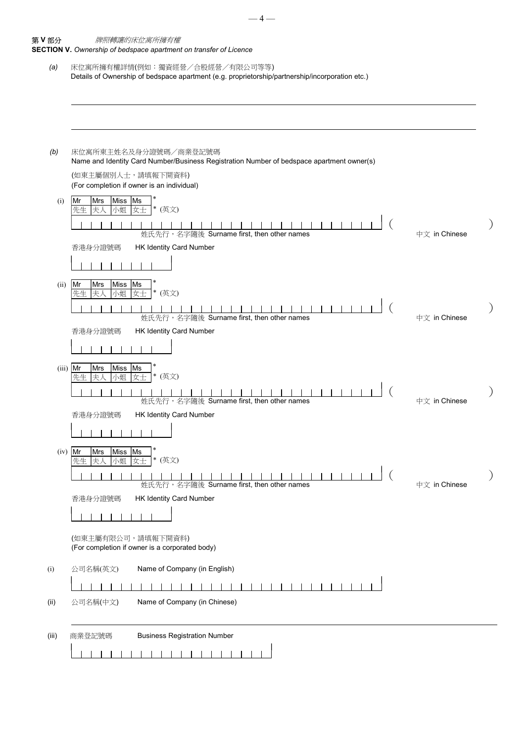| 第Ⅴ部分       | 牌照轉讓的床位寓所擁有權                                                                                                       |               |  |
|------------|--------------------------------------------------------------------------------------------------------------------|---------------|--|
| (a)        | SECTION V. Ownership of bedspace apartment on transfer of Licence<br>床位寓所擁有權詳情(例如:獨資經營/合股經營/有限公司等等)                |               |  |
|            | Details of Ownership of bedspace apartment (e.g. proprietorship/partnership/incorporation etc.)                    |               |  |
|            |                                                                                                                    |               |  |
|            |                                                                                                                    |               |  |
|            |                                                                                                                    |               |  |
| (b)        | 床位寓所東主姓名及身分證號碼/商業登記號碼<br>Name and Identity Card Number/Business Registration Number of bedspace apartment owner(s) |               |  |
|            | (如東主屬個別人士,請填報下開資料)<br>(For completion if owner is an individual)                                                   |               |  |
| (i)        | Miss Ms<br>Mr<br>Mrs <br>* (英文)<br>先生<br>小姐<br>女士<br> 夫人                                                           |               |  |
|            | 姓氏先行,名字隨後 Surname first, then other names                                                                          | 中文 in Chinese |  |
|            | 香港身分證號碼<br><b>HK Identity Card Number</b>                                                                          |               |  |
|            |                                                                                                                    |               |  |
| (ii)       | Miss  Ms<br>Mr<br>Mrs<br>* (英文)<br>先生<br>小姐<br>女士<br>ま人                                                            |               |  |
|            |                                                                                                                    |               |  |
|            | 姓氏先行,名字隨後 Surname first, then other names<br>HK Identity Card Number<br>香港身分證號碼                                    | 中文 in Chinese |  |
|            |                                                                                                                    |               |  |
| $(iii)$ Mr | Mrs<br>Miss<br>Ms                                                                                                  |               |  |
|            | * (英文)<br>女士<br>小姐<br>l夫.<br>先生                                                                                    |               |  |
|            | 姓氏先行,名字隨後 Surname first, then other names                                                                          | 中文 in Chinese |  |
|            | HK Identity Card Number<br>香港身分證號碼                                                                                 |               |  |
|            | 11111111                                                                                                           |               |  |
| $(iv)$ Mr  | Miss Ms<br>Mrs <br>* (英文)<br>小姐<br>女士<br>先生<br>未人                                                                  |               |  |
|            |                                                                                                                    |               |  |
|            | 姓氏先行,名字隨後 Surname first, then other names<br>香港身分證號碼<br><b>HK Identity Card Number</b>                             | 中文 in Chinese |  |
|            |                                                                                                                    |               |  |
|            | (如東主屬有限公司,請填報下開資料)                                                                                                 |               |  |
|            | (For completion if owner is a corporated body)                                                                     |               |  |
| (i)        | Name of Company (in English)<br>公司名稱(英文)                                                                           |               |  |
|            |                                                                                                                    |               |  |
| (ii)       | Name of Company (in Chinese)<br>公司名稱(中文)                                                                           |               |  |
|            |                                                                                                                    |               |  |
| (iii)      | <b>Business Registration Number</b><br>商業登記號碼                                                                      |               |  |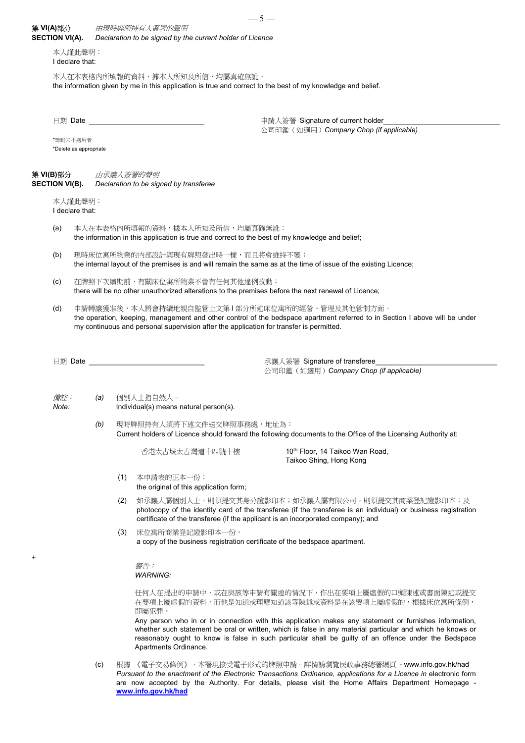## $-5-$ 第 VI(A)部分 由現時牌照持有人簽署的聲明

| 弟 VI(A)部分<br><b>SECTION VI(A).</b> |                                                                                                                                                       |     | 田堄峙牌照持有人僉署的肇明<br>Declaration to be signed by the current holder of Licence              |                                                                                                                                                                                                                                                                                                                               |  |  |  |
|------------------------------------|-------------------------------------------------------------------------------------------------------------------------------------------------------|-----|-----------------------------------------------------------------------------------------|-------------------------------------------------------------------------------------------------------------------------------------------------------------------------------------------------------------------------------------------------------------------------------------------------------------------------------|--|--|--|
| 本人謹此聲明:<br>I declare that:         |                                                                                                                                                       |     |                                                                                         |                                                                                                                                                                                                                                                                                                                               |  |  |  |
|                                    |                                                                                                                                                       |     | 本人在本表格内所填報的資料,據本人所知及所信,均屬真確無訛。                                                          | the information given by me in this application is true and correct to the best of my knowledge and belief.                                                                                                                                                                                                                   |  |  |  |
|                                    |                                                                                                                                                       |     | 日期 Date _______________________________                                                 | 申請人簽署 Signature of current holder_<br>公司印鑑(如適用) Company Chop (if applicable)                                                                                                                                                                                                                                                  |  |  |  |
|                                    | *請刪去不適用者<br>*Delete as appropriate                                                                                                                    |     |                                                                                         |                                                                                                                                                                                                                                                                                                                               |  |  |  |
| 第 VI(B)部分<br><b>SECTION VI(B).</b> |                                                                                                                                                       |     | 由承讓人簽署的聲明<br>Declaration to be signed by transferee                                     |                                                                                                                                                                                                                                                                                                                               |  |  |  |
|                                    | 本人謹此聲明:<br>I declare that:                                                                                                                            |     |                                                                                         |                                                                                                                                                                                                                                                                                                                               |  |  |  |
| (a)                                |                                                                                                                                                       |     | 本人在本表格内所填報的資料,據本人所知及所信,均屬真確無訛;                                                          | the information in this application is true and correct to the best of my knowledge and belief;                                                                                                                                                                                                                               |  |  |  |
| (b)                                | 現時床位寓所物業的內部設計與現有牌照發出時一樣,而且將會維持不變;<br>the internal layout of the premises is and will remain the same as at the time of issue of the existing Licence; |     |                                                                                         |                                                                                                                                                                                                                                                                                                                               |  |  |  |
| (c)                                | 在牌照下次續期前,有關床位寓所物業不會有任何其他違例改動;<br>there will be no other unauthorized alterations to the premises before the next renewal of Licence;                  |     |                                                                                         |                                                                                                                                                                                                                                                                                                                               |  |  |  |
| (d)                                |                                                                                                                                                       |     | my continuous and personal supervision after the application for transfer is permitted. | 申請轉讓獲准後,本人將會持續地親自監管上文第l部分所述床位寓所的經營、管理及其他管制方面。<br>the operation, keeping, management and other control of the bedspace apartment referred to in Section I above will be under                                                                                                                                                  |  |  |  |
|                                    |                                                                                                                                                       |     |                                                                                         | 承讓人簽署 Signature of transferee_________<br>公司印鑑 (如適用) Company Chop (if applicable)                                                                                                                                                                                                                                             |  |  |  |
| 備註:<br>Note:                       |                                                                                                                                                       | (a) | 個別人士指自然人。<br>Individual(s) means natural person(s).                                     |                                                                                                                                                                                                                                                                                                                               |  |  |  |
|                                    |                                                                                                                                                       |     | (b) 現時牌照持有人須將下述文件送交牌照事務處, 地址為:                                                          | Current holders of Licence should forward the following documents to the Office of the Licensing Authority at:                                                                                                                                                                                                                |  |  |  |
|                                    |                                                                                                                                                       |     | 香港太古城太古灣道十四號十樓                                                                          | 10th Floor, 14 Taikoo Wan Road,<br>Taikoo Shing, Hong Kong                                                                                                                                                                                                                                                                    |  |  |  |
|                                    |                                                                                                                                                       |     | (1)<br>本申請表的正本一份;<br>the original of this application form;                             |                                                                                                                                                                                                                                                                                                                               |  |  |  |
|                                    |                                                                                                                                                       |     | (2)                                                                                     | 如承讓人屬個別人士,則須提交其身分證影印本;如承讓人屬有限公司,則須提交其商業登記證影印本;及<br>photocopy of the identity card of the transferee (if the transferee is an individual) or business registration<br>certificate of the transferee (if the applicant is an incorporated company); and                                                                         |  |  |  |
|                                    |                                                                                                                                                       |     | 床位寓所商業登記證影印本一份。<br>(3)                                                                  | a copy of the business registration certificate of the bedspace apartment.                                                                                                                                                                                                                                                    |  |  |  |
| +                                  |                                                                                                                                                       |     | 聲告:<br><b>WARNING:</b>                                                                  |                                                                                                                                                                                                                                                                                                                               |  |  |  |
|                                    |                                                                                                                                                       |     | 即屬犯罪。                                                                                   | 任何人在提出的申請中,或在與該等申請有關連的情況下,作出在要項上屬虛假的口頭陳述或書面陳述或提交<br>在要項上屬虛假的資料,而他是知道或理應知道該等陳述或資料是在該要項上屬虛假的,根據床位寓所條例,                                                                                                                                                                                                                          |  |  |  |
|                                    |                                                                                                                                                       |     | Apartments Ordinance.                                                                   | Any person who in or in connection with this application makes any statement or furnishes information,<br>whether such statement be oral or written, which is false in any material particular and which he knows or<br>reasonably ought to know is false in such particular shall be guilty of an offence under the Bedspace |  |  |  |

(c) 根據 《電子交易條例》,本署現接受電子形式的牌照申請。詳情請瀏覽民政事務總署網頁 - www.info.gov.hk/had Pursuant to the enactment of the Electronic Transactions Ordinance, applications for a Licence in electronic form are now accepted by the Authority. For details, please visit the Home Affairs Department Homepage www.info.gov.hk/had